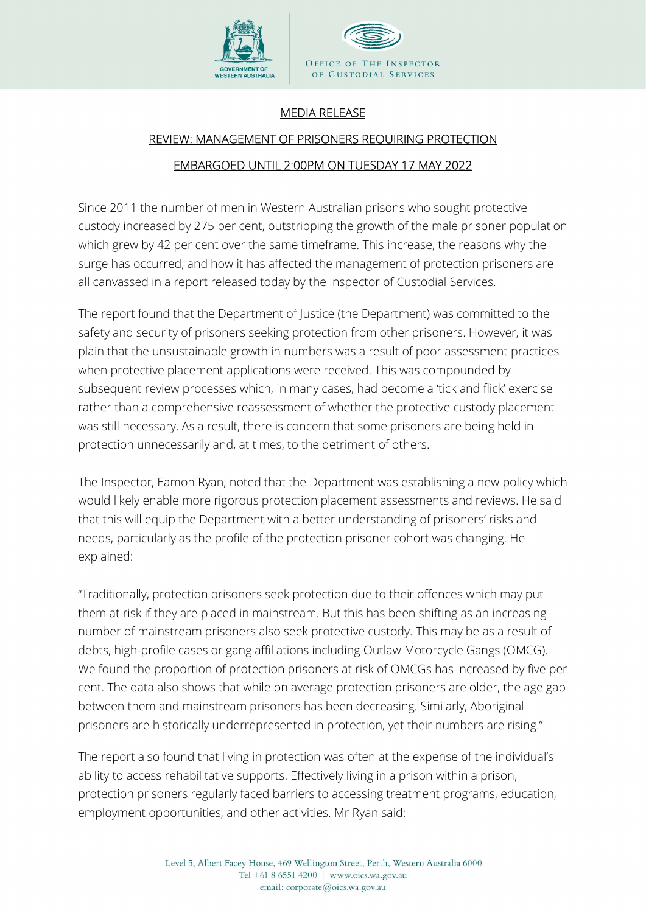

## MEDIA RELEASE

## REVIEW: MANAGEMENT OF PRISONERS REQUIRING PROTECTION EMBARGOED UNTIL 2:00PM ON TUESDAY 17 MAY 2022

Since 2011 the number of men in Western Australian prisons who sought protective custody increased by 275 per cent, outstripping the growth of the male prisoner population which grew by 42 per cent over the same timeframe. This increase, the reasons why the surge has occurred, and how it has affected the management of protection prisoners are all canvassed in a report released today by the Inspector of Custodial Services.

The report found that the Department of Justice (the Department) was committed to the safety and security of prisoners seeking protection from other prisoners. However, it was plain that the unsustainable growth in numbers was a result of poor assessment practices when protective placement applications were received. This was compounded by subsequent review processes which, in many cases, had become a 'tick and flick' exercise rather than a comprehensive reassessment of whether the protective custody placement was still necessary. As a result, there is concern that some prisoners are being held in protection unnecessarily and, at times, to the detriment of others.

The Inspector, Eamon Ryan, noted that the Department was establishing a new policy which would likely enable more rigorous protection placement assessments and reviews. He said that this will equip the Department with a better understanding of prisoners' risks and needs, particularly as the profile of the protection prisoner cohort was changing. He explained:

"Traditionally, protection prisoners seek protection due to their offences which may put them at risk if they are placed in mainstream. But this has been shifting as an increasing number of mainstream prisoners also seek protective custody. This may be as a result of debts, high-profile cases or gang affiliations including Outlaw Motorcycle Gangs (OMCG). We found the proportion of protection prisoners at risk of OMCGs has increased by five per cent. The data also shows that while on average protection prisoners are older, the age gap between them and mainstream prisoners has been decreasing. Similarly, Aboriginal prisoners are historically underrepresented in protection, yet their numbers are rising."

The report also found that living in protection was often at the expense of the individual's ability to access rehabilitative supports. Effectively living in a prison within a prison, protection prisoners regularly faced barriers to accessing treatment programs, education, employment opportunities, and other activities. Mr Ryan said: